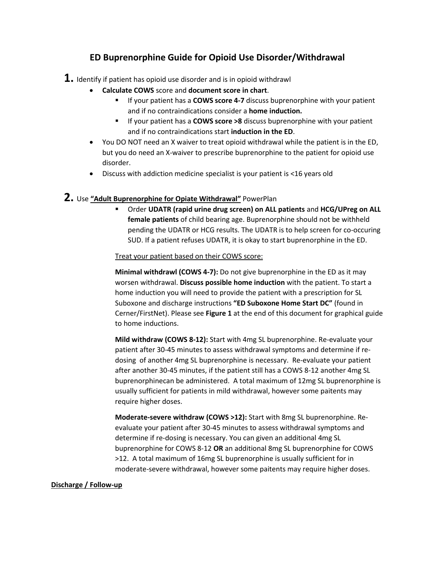# **ED Buprenorphine Guide for Opioid Use Disorder/Withdrawal**

- **1.** Identify if patient has opioid use disorder and is in opioid withdrawl
	- **Calculate COWS** score and **document score in chart**.
		- If your patient has a **COWS score 4-7** discuss buprenorphine with your patient and if no contraindications consider a **home induction.**
		- If your patient has a **COWS score >8** discuss buprenorphine with your patient and if no contraindications start **induction in the ED**.
	- You DO NOT need an X waiver to treat opioid withdrawal while the patient is in the ED, but you do need an X-waiver to prescribe buprenorphine to the patient for opioid use disorder.
	- Discuss with addiction medicine specialist is your patient is <16 years old

# **2.** Use **"Adult Buprenorphine for Opiate Withdrawal"** PowerPlan

▪ Order **UDATR (rapid urine drug screen) on ALL patients** and **HCG/UPreg on ALL female patients** of child bearing age. Buprenorphine should not be withheld pending the UDATR or HCG results. The UDATR is to help screen for co-occuring SUD. If a patient refuses UDATR, it is okay to start buprenorphine in the ED.

#### Treat your patient based on their COWS score:

**Minimal withdrawl (COWS 4-7):** Do not give buprenorphine in the ED as it may worsen withdrawal. **Discuss possible home induction** with the patient. To start a home induction you will need to provide the patient with a prescription for SL Suboxone and discharge instructions **"ED Suboxone Home Start DC"** (found in Cerner/FirstNet). Please see **Figure 1** at the end of this document for graphical guide to home inductions.

**Mild withdraw (COWS 8-12):** Start with 4mg SL buprenorphine. Re-evaluate your patient after 30-45 minutes to assess withdrawal symptoms and determine if redosing of another 4mg SL buprenorphine is necessary. Re-evaluate your patient after another 30-45 minutes, if the patient still has a COWS 8-12 another 4mg SL buprenorphinecan be administered. A total maximum of 12mg SL buprenorphine is usually sufficient for patients in mild withdrawal, however some paitents may require higher doses.

**Moderate-severe withdraw (COWS >12):** Start with 8mg SL buprenorphine. Reevaluate your patient after 30-45 minutes to assess withdrawal symptoms and determine if re-dosing is necessary. You can given an additional 4mg SL buprenorphine for COWS 8-12 **OR** an additional 8mg SL buprenorphine for COWS >12. A total maximum of 16mg SL buprenorphine is usually sufficient for in moderate-severe withdrawal, however some paitents may require higher doses.

## **Discharge / Follow-up**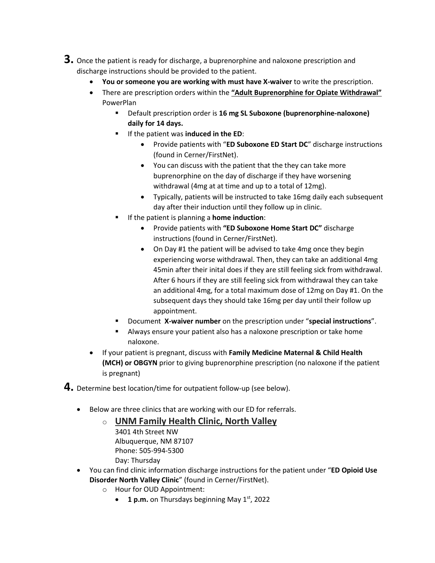- **3.** Once the patient is ready for discharge, a buprenorphine and naloxone prescription and discharge instructions should be provided to the patient.
	- **You or someone you are working with must have X-waiver** to write the prescription.
	- There are prescription orders within the **"Adult Buprenorphine for Opiate Withdrawal"** PowerPlan
		- Default prescription order is **16 mg SL Suboxone (buprenorphine-naloxone) daily for 14 days.**
		- If the patient was **induced in the ED**:
			- Provide patients with "**ED Suboxone ED Start DC**" discharge instructions (found in Cerner/FirstNet).
			- You can discuss with the patient that the they can take more buprenorphine on the day of discharge if they have worsening withdrawal (4mg at at time and up to a total of 12mg).
			- Typically, patients will be instructed to take 16mg daily each subsequent day after their induction until they follow up in clinic.
		- If the patient is planning a **home induction**:
			- Provide patients with **"ED Suboxone Home Start DC"** discharge instructions (found in Cerner/FirstNet).
			- On Day #1 the patient will be advised to take 4mg once they begin experiencing worse withdrawal. Then, they can take an additional 4mg 45min after their inital does if they are still feeling sick from withdrawal. After 6 hours if they are still feeling sick from withdrawal they can take an additional 4mg, for a total maximum dose of 12mg on Day #1. On the subsequent days they should take 16mg per day until their follow up appointment.
		- Document **X-waiver number** on the prescription under "**special instructions**".
		- Always ensure your patient also has a naloxone prescription or take home naloxone.
	- If your patient is pregnant, discuss with **Family Medicine Maternal & Child Health (MCH) or OBGYN** prior to giving buprenorphine prescription (no naloxone if the patient is pregnant)

**4.** Determine best location/time for outpatient follow-up (see below).

- Below are three clinics that are working with our ED for referrals.
	- o **UNM Family Health Clinic, North Valley** [3401 4th Street NW](https://goo.gl/maps/nb7N5mdQUm22) Albuquerque, NM 87107 Phone: [505-994-5300](tel:505-994-5300) Day: Thursday
- You can find clinic information discharge instructions for the patient under "**ED Opioid Use Disorder North Valley Clinic**" (found in Cerner/FirstNet).
	- o Hour for OUD Appointment:
		- 1 p.m. on Thursdays beginning May 1<sup>st</sup>, 2022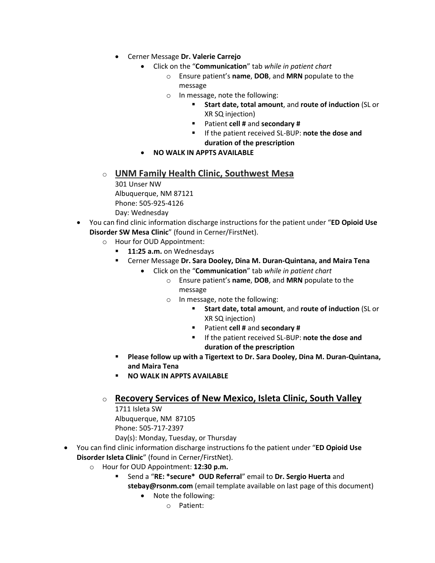- Cerner Message **Dr. Valerie Carrejo**
	- Click on the "**Communication**" tab *while in patient chart*
		- o Ensure patient's **name**, **DOB**, and **MRN** populate to the message
		- o In message, note the following:
			- **Start date, total amount**, and **route of induction** (SL or XR SQ injection)
			- Patient **cell #** and **secondary #**
			- If the patient received SL-BUP: **note the dose and duration of the prescription**
	- **NO WALK IN APPTS AVAILABLE**
- o **UNM Family Health Clinic, Southwest Mesa**
	- 301 Unser NW Albuquerque, NM 87121 Phone: 505-925-4126 Day: Wednesday
- You can find clinic information discharge instructions for the patient under "**ED Opioid Use Disorder SW Mesa Clinic**" (found in Cerner/FirstNet).
	- o Hour for OUD Appointment:
		- 11:25 a.m. on Wednesdays
		- Cerner Message **Dr. Sara Dooley, Dina M. Duran-Quintana, and Maira Tena**
			- Click on the "**Communication**" tab *while in patient chart*
				- o Ensure patient's **name**, **DOB**, and **MRN** populate to the message
				- o In message, note the following:
					- **Start date, total amount**, and **route of induction** (SL or XR SQ injection)
					- Patient **cell #** and **secondary #**
					- If the patient received SL-BUP: **note the dose and duration of the prescription**
		- **Please follow up with a Tigertext to Dr. Sara Dooley, Dina M. Duran-Quintana, and Maira Tena**
		- **NO WALK IN APPTS AVAILABLE**
	- o **Recovery Services of New Mexico, Isleta Clinic, South Valley**

[1711 Isleta SW](https://www.google.com/maps/place/Recovery+Services+of+New+Mexico+Isleta/@35.051572,-106.6803462,17z/data=!3m1!4b1!4m5!3m4!1s0x87220a9617ec1dbb:0xaf915f8057f83ee6!8m2!3d35.0515676!4d-106.6781575) Albuquerque, NM 87105 Phone: [505-717-2397](tel:505-717-2397) Day(s): Monday, Tuesday, or Thursday

- You can find clinic information discharge instructions fo the patient under "**ED Opioid Use Disorder Isleta Clinic**" (found in Cerner/FirstNet).
	- o Hour for OUD Appointment: **12:30 p.m.**
		- Send a "**RE: \*secure\* OUD Referral**" email to **Dr. Sergio Huerta** and **stebay@rsonm.com** (email template available on last page of this document)
			- Note the following:
				- o Patient: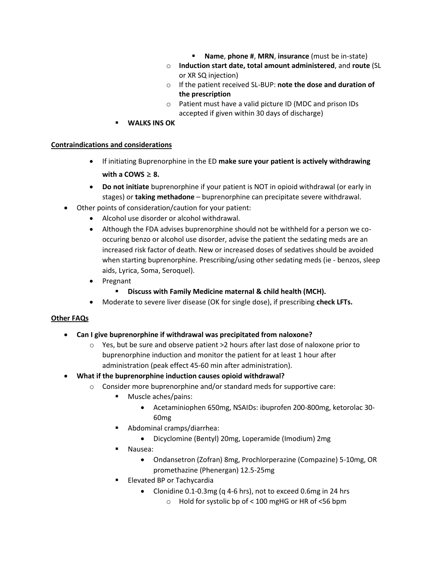- **Name**, **phone #**, **MRN**, **insurance** (must be in-state)
- o **Induction start date, total amount administered**, and **route** (SL or XR SQ injection)
- o If the patient received SL-BUP: **note the dose and duration of the prescription**
- o Patient must have a valid picture ID (MDC and prison IDs accepted if given within 30 days of discharge)
- **WALKS INS OK**

#### **Contraindications and considerations**

- If initiating Buprenorphine in the ED **make sure your patient is actively withdrawing** with a COWS  $\geq$  8.
- **Do not initiate** buprenorphine if your patient is NOT in opioid withdrawal (or early in stages) or **taking methadone** – buprenorphine can precipitate severe withdrawal.
- Other points of consideration/caution for your patient:
	- Alcohol use disorder or alcohol withdrawal.
	- Although the FDA advises buprenorphine should not be withheld for a person we cooccuring benzo or alcohol use disorder, advise the patient the sedating meds are an increased risk factor of death. New or increased doses of sedatives should be avoided when starting buprenorphine. Prescribing/using other sedating meds (ie - benzos, sleep aids, Lyrica, Soma, Seroquel).
	- Pregnant
		- **Discuss with Family Medicine maternal & child health (MCH).**
	- Moderate to severe liver disease (OK for single dose), if prescribing **check LFTs.**

## **Other FAQs**

- **Can I give buprenorphine if withdrawal was precipitated from naloxone?** 
	- $\circ$  Yes, but be sure and observe patient >2 hours after last dose of naloxone prior to buprenorphine induction and monitor the patient for at least 1 hour after administration (peak effect 45-60 min after administration).
- **What if the buprenorphine induction causes opioid withdrawal?**
	- o Consider more buprenorphine and/or standard meds for supportive care:
		- Muscle aches/pains:
			- Acetaminiophen 650mg, NSAIDs: ibuprofen 200-800mg, ketorolac 30- 60mg
		- Abdominal cramps/diarrhea:
			- Dicyclomine (Bentyl) 20mg, Loperamide (Imodium) 2mg
		- Nausea:
			- Ondansetron (Zofran) 8mg, Prochlorperazine (Compazine) 5-10mg, OR promethazine (Phenergan) 12.5-25mg
		- Elevated BP or Tachycardia
			- Clonidine 0.1-0.3mg (q 4-6 hrs), not to exceed 0.6mg in 24 hrs
				- o Hold for systolic bp of < 100 mgHG or HR of <56 bpm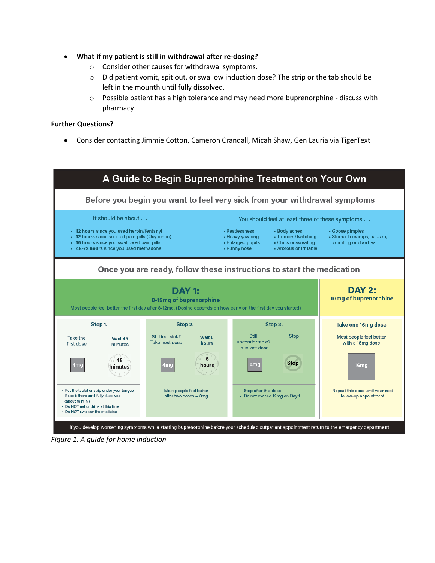- **What if my patient is still in withdrawal after re-dosing?**
	- o Consider other causes for withdrawal symptoms.
	- o Did patient vomit, spit out, or swallow induction dose? The strip or the tab should be left in the mounth until fully dissolved.
	- $\circ$  Possible patient has a high tolerance and may need more buprenorphine discuss with pharmacy

#### **Further Questions?**

• Consider contacting Jimmie Cotton, Cameron Crandall, Micah Shaw, Gen Lauria via TigerText



*Figure 1. A guide for home induction*